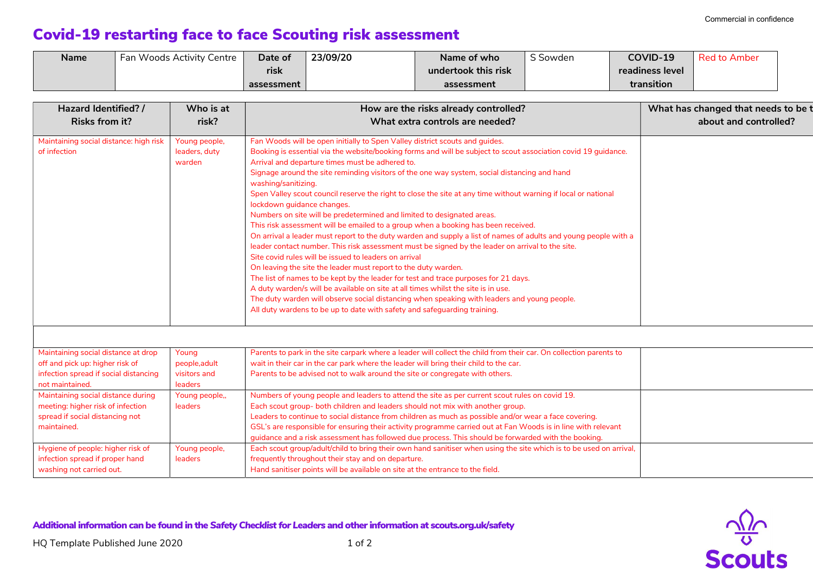$\frac{\sqrt{2}}{8}$ 

## Covid-19 restarting face to face Scouting risk assessment

| <b>Name</b> | Fan Woods Activity Centre | Date of    | 23/09/20 | Name of who         | $\sim$ $\sim$<br>Sowden | <b>COVID-19</b> | <b>Red to Amber</b> |
|-------------|---------------------------|------------|----------|---------------------|-------------------------|-----------------|---------------------|
|             |                           | rısk       |          | undertook this risk |                         | readiness level |                     |
|             |                           | assessment |          | assessment          |                         | transition      |                     |

| Hazard Identified? /<br>Who is at<br><b>Risks from it?</b><br>risk? |                | How are the risks already controlled?<br>What extra controls are needed?                                           | What has changed that needs to be t<br>about and controlled? |  |
|---------------------------------------------------------------------|----------------|--------------------------------------------------------------------------------------------------------------------|--------------------------------------------------------------|--|
|                                                                     |                |                                                                                                                    |                                                              |  |
| Maintaining social distance: high risk                              | Young people,  | Fan Woods will be open initially to Spen Valley district scouts and guides.                                        |                                                              |  |
| of infection                                                        | leaders, duty  | Booking is essential via the website/booking forms and will be subject to scout association covid 19 guidance.     |                                                              |  |
|                                                                     | warden         | Arrival and departure times must be adhered to.                                                                    |                                                              |  |
|                                                                     |                | Signage around the site reminding visitors of the one way system, social distancing and hand                       |                                                              |  |
|                                                                     |                | washing/sanitizing.                                                                                                |                                                              |  |
|                                                                     |                | Spen Valley scout council reserve the right to close the site at any time without warning if local or national     |                                                              |  |
|                                                                     |                | lockdown guidance changes.                                                                                         |                                                              |  |
|                                                                     |                | Numbers on site will be predetermined and limited to designated areas.                                             |                                                              |  |
|                                                                     |                | This risk assessment will be emailed to a group when a booking has been received.                                  |                                                              |  |
|                                                                     |                | On arrival a leader must report to the duty warden and supply a list of names of adults and young people with a    |                                                              |  |
|                                                                     |                | leader contact number. This risk assessment must be signed by the leader on arrival to the site.                   |                                                              |  |
|                                                                     |                | Site covid rules will be issued to leaders on arrival                                                              |                                                              |  |
|                                                                     |                | On leaving the site the leader must report to the duty warden.                                                     |                                                              |  |
|                                                                     |                | The list of names to be kept by the leader for test and trace purposes for 21 days.                                |                                                              |  |
|                                                                     |                | A duty warden/s will be available on site at all times whilst the site is in use.                                  |                                                              |  |
|                                                                     |                | The duty warden will observe social distancing when speaking with leaders and young people.                        |                                                              |  |
|                                                                     |                | All duty wardens to be up to date with safety and safeguarding training.                                           |                                                              |  |
|                                                                     |                |                                                                                                                    |                                                              |  |
| Maintaining social distance at drop                                 | Young          | Parents to park in the site carpark where a leader will collect the child from their car. On collection parents to |                                                              |  |
| off and pick up: higher risk of                                     | people, adult  | wait in their car in the car park where the leader will bring their child to the car.                              |                                                              |  |
| infection spread if social distancing                               | visitors and   | Parents to be advised not to walk around the site or congregate with others.                                       |                                                              |  |
| not maintained.                                                     | leaders        |                                                                                                                    |                                                              |  |
| Maintaining social distance during                                  | Young people,, | Numbers of young people and leaders to attend the site as per current scout rules on covid 19.                     |                                                              |  |
| meeting: higher risk of infection                                   | leaders        | Each scout group- both children and leaders should not mix with another group.                                     |                                                              |  |
| spread if social distancing not                                     |                | Leaders to continue to social distance from children as much as possible and/or wear a face covering.              |                                                              |  |
| maintained.                                                         |                | GSL's are responsible for ensuring their activity programme carried out at Fan Woods is in line with relevant      |                                                              |  |
|                                                                     |                | guidance and a risk assessment has followed due process. This should be forwarded with the booking.                |                                                              |  |
| Hygiene of people: higher risk of                                   | Young people,  | Each scout group/adult/child to bring their own hand sanitiser when using the site which is to be used on arrival, |                                                              |  |
| infection spread if proper hand                                     | leaders        | frequently throughout their stay and on departure.                                                                 |                                                              |  |
|                                                                     |                |                                                                                                                    |                                                              |  |

Additional information can be found in the Safety Checklist for Leaders and other information at scouts.org.uk/safety

washing not carried out.

Hand sanitiser points will be available on site at the entrance to the field.